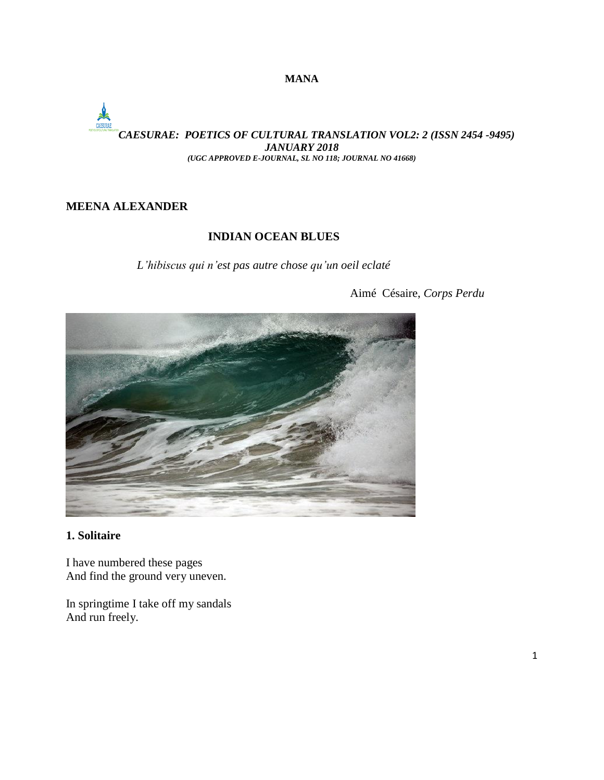# *CAESURAE: POETICS OF CULTURAL TRANSLATION VOL2: 2 (ISSN 2454 -9495) JANUARY 2018 (UGC APPROVED E-JOURNAL, SL NO 118; JOURNAL NO 41668)*

# **MEENA ALEXANDER**

# **INDIAN OCEAN BLUES**

*L'hibiscus qui n'est pas autre chose qu'un oeil eclaté*

Aimé Césaire, *Corps Perdu*



# **1. Solitaire**

I have numbered these pages And find the ground very uneven.

In springtime I take off my sandals And run freely.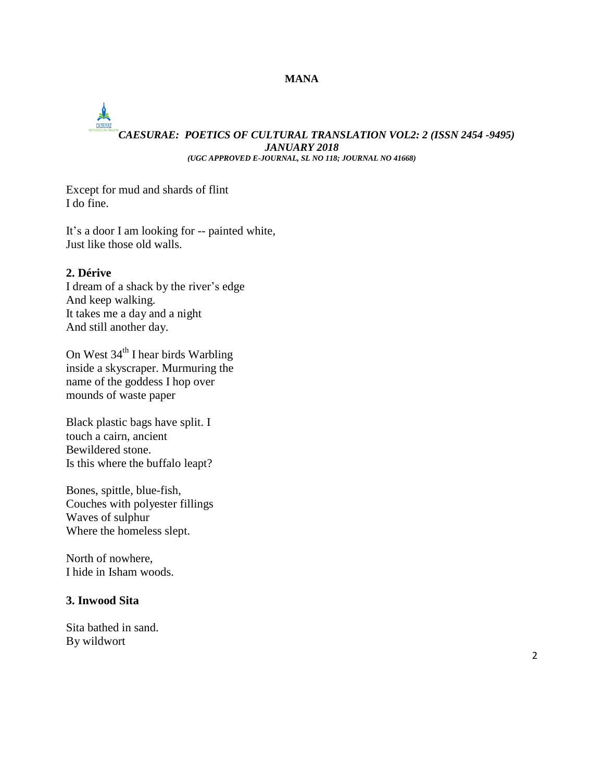# *CAESURAE: POETICS OF CULTURAL TRANSLATION VOL2: 2 (ISSN 2454 -9495) JANUARY 2018 (UGC APPROVED E-JOURNAL, SL NO 118; JOURNAL NO 41668)*

Except for mud and shards of flint

I do fine.

It's a door I am looking for -- painted white, Just like those old walls.

# **2. Dérive**

I dream of a shack by the river's edge And keep walking. It takes me a day and a night And still another day.

On West 34<sup>th</sup> I hear birds Warbling inside a skyscraper. Murmuring the name of the goddess I hop over mounds of waste paper

Black plastic bags have split. I touch a cairn, ancient Bewildered stone. Is this where the buffalo leapt?

Bones, spittle, blue-fish, Couches with polyester fillings Waves of sulphur Where the homeless slept.

North of nowhere, I hide in Isham woods.

### **3. Inwood Sita**

Sita bathed in sand. By wildwort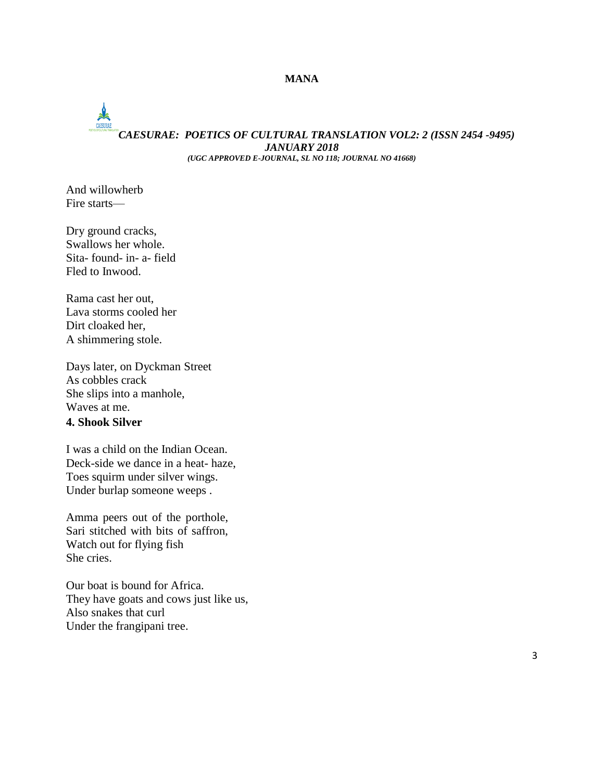# *CAESURAE: POETICS OF CULTURAL TRANSLATION VOL2: 2 (ISSN 2454 -9495) JANUARY 2018*

*(UGC APPROVED E-JOURNAL, SL NO 118; JOURNAL NO 41668)*

And willowherb Fire starts—

Dry ground cracks, Swallows her whole. Sita- found- in- a- field Fled to Inwood.

Rama cast her out, Lava storms cooled her Dirt cloaked her, A shimmering stole.

Days later, on Dyckman Street As cobbles crack She slips into a manhole, Waves at me. **4. Shook Silver**

I was a child on the Indian Ocean. Deck-side we dance in a heat- haze, Toes squirm under silver wings. Under burlap someone weeps .

Amma peers out of the porthole, Sari stitched with bits of saffron, Watch out for flying fish She cries.

Our boat is bound for Africa. They have goats and cows just like us, Also snakes that curl Under the frangipani tree.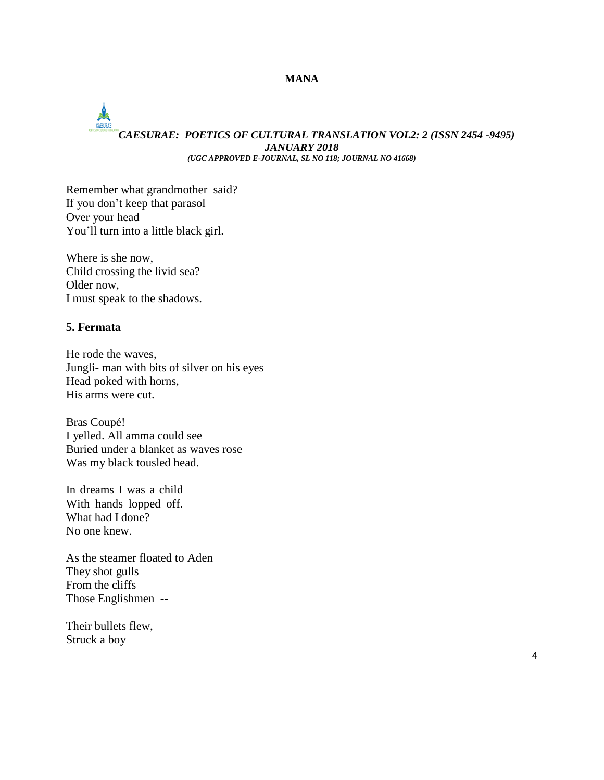# *CAESURAE: POETICS OF CULTURAL TRANSLATION VOL2: 2 (ISSN 2454 -9495) JANUARY 2018 (UGC APPROVED E-JOURNAL, SL NO 118; JOURNAL NO 41668)*

Remember what grandmother said? If you don't keep that parasol Over your head You'll turn into a little black girl.

Where is she now, Child crossing the livid sea? Older now, I must speak to the shadows.

### **5. Fermata**

He rode the waves, Jungli- man with bits of silver on his eyes Head poked with horns, His arms were cut.

Bras Coupé! I yelled. All amma could see Buried under a blanket as waves rose Was my black tousled head.

In dreams I was a child With hands lopped off. What had I done? No one knew.

As the steamer floated to Aden They shot gulls From the cliffs Those Englishmen --

Their bullets flew, Struck a boy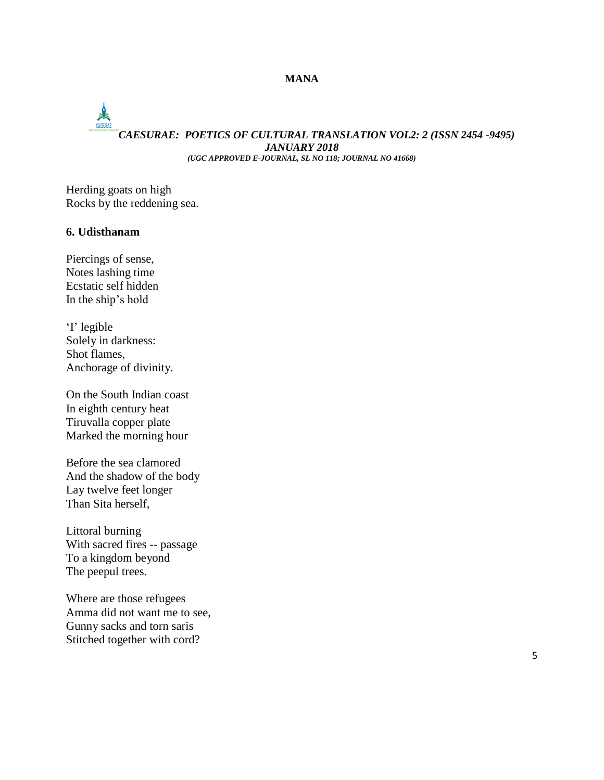# *CAESURAE: POETICS OF CULTURAL TRANSLATION VOL2: 2 (ISSN 2454 -9495) JANUARY 2018 (UGC APPROVED E-JOURNAL, SL NO 118; JOURNAL NO 41668)*

Herding goats on high Rocks by the reddening sea.

#### **6. Udisthanam**

Piercings of sense, Notes lashing time Ecstatic self hidden In the ship's hold

'I' legible Solely in darkness: Shot flames, Anchorage of divinity.

On the South Indian coast In eighth century heat Tiruvalla copper plate Marked the morning hour

Before the sea clamored And the shadow of the body Lay twelve feet longer Than Sita herself,

Littoral burning With sacred fires -- passage To a kingdom beyond The peepul trees.

Where are those refugees Amma did not want me to see, Gunny sacks and torn saris Stitched together with cord?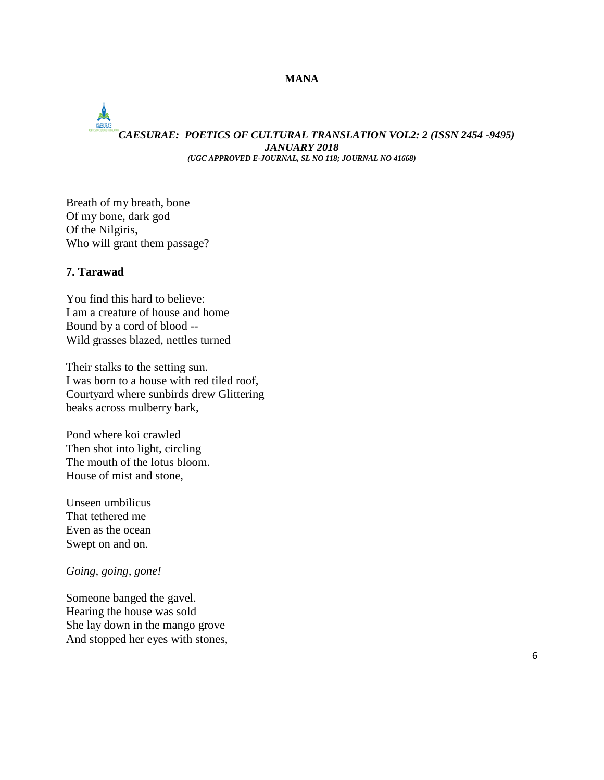# *CAESURAE: POETICS OF CULTURAL TRANSLATION VOL2: 2 (ISSN 2454 -9495) JANUARY 2018 (UGC APPROVED E-JOURNAL, SL NO 118; JOURNAL NO 41668)*

Breath of my breath, bone Of my bone, dark god Of the Nilgiris, Who will grant them passage?

#### **7. Tarawad**

You find this hard to believe: I am a creature of house and home Bound by a cord of blood -- Wild grasses blazed, nettles turned

Their stalks to the setting sun. I was born to a house with red tiled roof, Courtyard where sunbirds drew Glittering beaks across mulberry bark,

Pond where koi crawled Then shot into light, circling The mouth of the lotus bloom. House of mist and stone,

Unseen umbilicus That tethered me Even as the ocean Swept on and on.

*Going, going, gone!*

Someone banged the gavel. Hearing the house was sold She lay down in the mango grove And stopped her eyes with stones,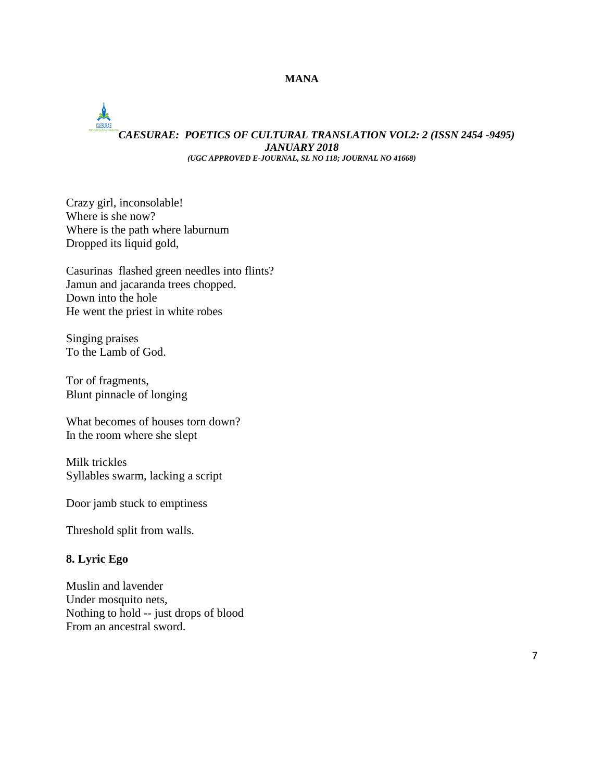# *CAESURAE: POETICS OF CULTURAL TRANSLATION VOL2: 2 (ISSN 2454 -9495) JANUARY 2018 (UGC APPROVED E-JOURNAL, SL NO 118; JOURNAL NO 41668)*

Crazy girl, inconsolable! Where is she now? Where is the path where laburnum Dropped its liquid gold,

Casurinas flashed green needles into flints? Jamun and jacaranda trees chopped. Down into the hole He went the priest in white robes

Singing praises To the Lamb of God.

Tor of fragments, Blunt pinnacle of longing

What becomes of houses torn down? In the room where she slept

Milk trickles Syllables swarm, lacking a script

Door jamb stuck to emptiness

Threshold split from walls.

# **8. Lyric Ego**

Muslin and lavender Under mosquito nets, Nothing to hold -- just drops of blood From an ancestral sword.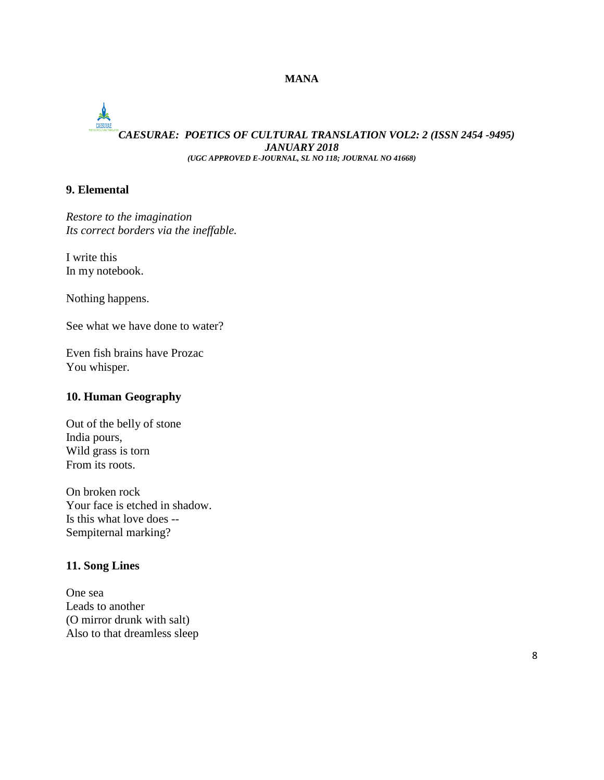# CAESURAE *CAESURAE: POETICS OF CULTURAL TRANSLATION VOL2: 2 (ISSN 2454 -9495) JANUARY 2018*

*(UGC APPROVED E-JOURNAL, SL NO 118; JOURNAL NO 41668)*

# **9. Elemental**

*Restore to the imagination Its correct borders via the ineffable.*

I write this In my notebook.

Nothing happens.

See what we have done to water?

Even fish brains have Prozac You whisper.

### **10. Human Geography**

Out of the belly of stone India pours, Wild grass is torn From its roots.

On broken rock Your face is etched in shadow. Is this what love does -- Sempiternal marking?

### **11. Song Lines**

One sea Leads to another (O mirror drunk with salt) Also to that dreamless sleep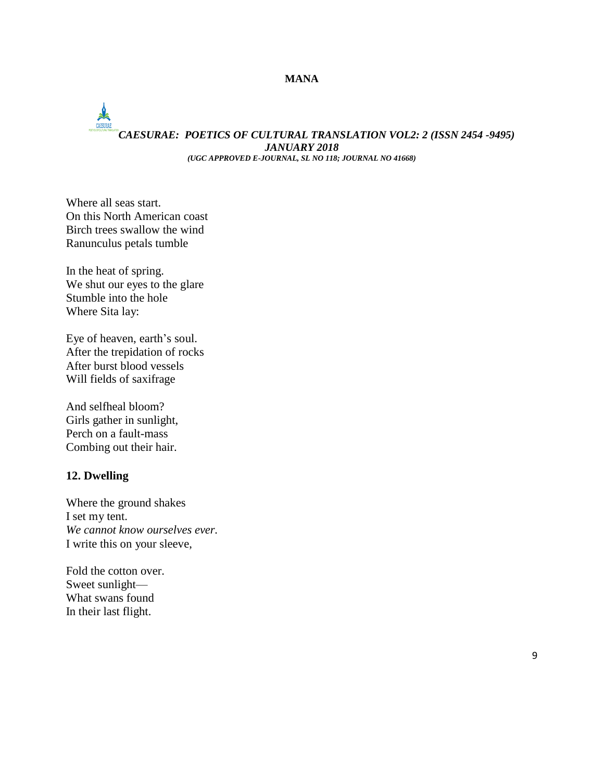# *CAESURAE: POETICS OF CULTURAL TRANSLATION VOL2: 2 (ISSN 2454 -9495) JANUARY 2018 (UGC APPROVED E-JOURNAL, SL NO 118; JOURNAL NO 41668)*

Where all seas start. On this North American coast Birch trees swallow the wind Ranunculus petals tumble

In the heat of spring. We shut our eyes to the glare Stumble into the hole Where Sita lay:

Eye of heaven, earth's soul. After the trepidation of rocks After burst blood vessels Will fields of saxifrage

And selfheal bloom? Girls gather in sunlight, Perch on a fault-mass Combing out their hair.

#### **12. Dwelling**

Where the ground shakes I set my tent. *We cannot know ourselves ever.* I write this on your sleeve,

Fold the cotton over. Sweet sunlight— What swans found In their last flight.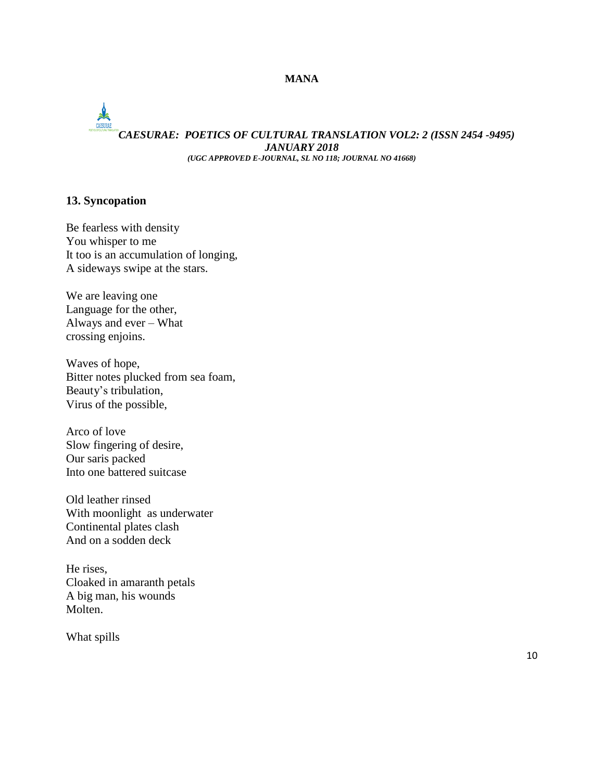# *CAESURAE: POETICS OF CULTURAL TRANSLATION VOL2: 2 (ISSN 2454 -9495) JANUARY 2018 (UGC APPROVED E-JOURNAL, SL NO 118; JOURNAL NO 41668)*

# **13. Syncopation**

Be fearless with density You whisper to me It too is an accumulation of longing, A sideways swipe at the stars.

We are leaving one Language for the other, Always and ever – What crossing enjoins.

Waves of hope, Bitter notes plucked from sea foam, Beauty's tribulation, Virus of the possible,

Arco of love Slow fingering of desire, Our saris packed Into one battered suitcase

Old leather rinsed With moonlight as underwater Continental plates clash And on a sodden deck

He rises, Cloaked in amaranth petals A big man, his wounds Molten.

What spills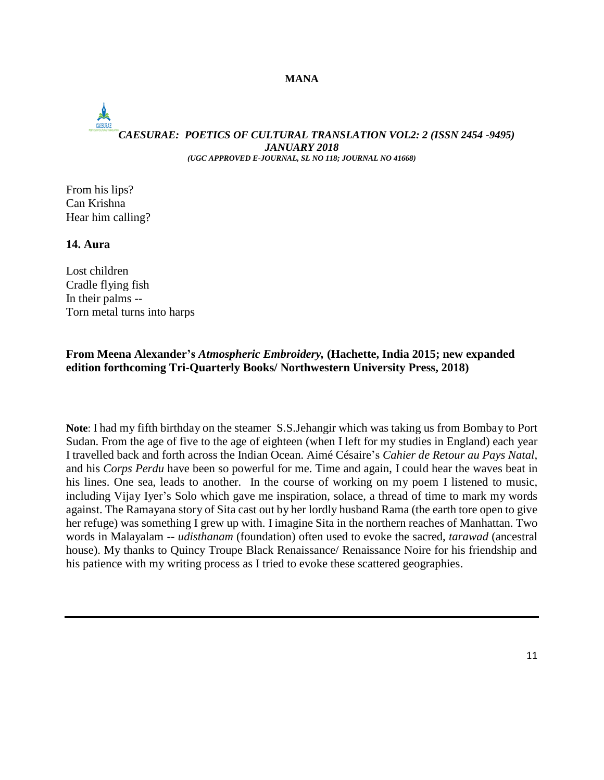# *CAESURAE: POETICS OF CULTURAL TRANSLATION VOL2: 2 (ISSN 2454 -9495) JANUARY 2018 (UGC APPROVED E-JOURNAL, SL NO 118; JOURNAL NO 41668)*

From his lips? Can Krishna Hear him calling?

# **14. Aura**

Lost children Cradle flying fish In their palms -- Torn metal turns into harps

### **From Meena Alexander's** *Atmospheric Embroidery,* **(Hachette, India 2015; new expanded edition forthcoming Tri-Quarterly Books/ Northwestern University Press, 2018)**

**Note**: I had my fifth birthday on the steamer S.S.Jehangir which was taking us from Bombay to Port Sudan. From the age of five to the age of eighteen (when I left for my studies in England) each year I travelled back and forth across the Indian Ocean. Aimé Césaire's *Cahier de Retour au Pays Natal*, and his *Corps Perdu* have been so powerful for me. Time and again, I could hear the waves beat in his lines. One sea, leads to another. In the course of working on my poem I listened to music, including Vijay Iyer's Solo which gave me inspiration, solace, a thread of time to mark my words against. The Ramayana story of Sita cast out by her lordly husband Rama (the earth tore open to give her refuge) was something I grew up with. I imagine Sita in the northern reaches of Manhattan. Two words in Malayalam -- *udisthanam* (foundation) often used to evoke the sacred, *tarawad* (ancestral house). My thanks to Quincy Troupe Black Renaissance/ Renaissance Noire for his friendship and his patience with my writing process as I tried to evoke these scattered geographies.